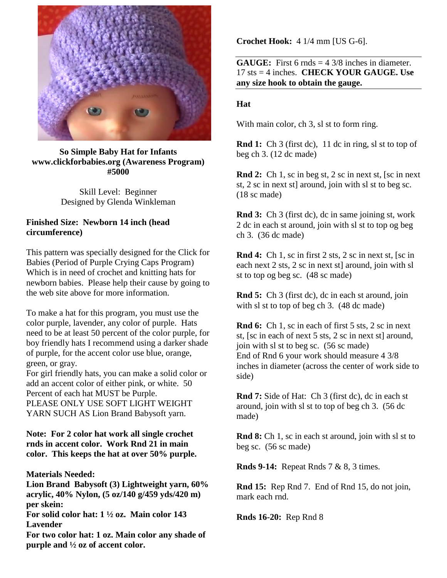

## **So Simple Baby Hat for Infants [www.clickforbabies.org](http://www.clickforbabies.org/) (Awareness Program) #5000**

Skill Level: Beginner Designed by Glenda Winkleman

## **Finished Size: Newborn 14 inch (head circumference)**

This pattern was specially designed for the Click for Babies (Period of Purple Crying Caps Program) Which is in need of crochet and knitting hats for newborn babies. Please help their cause by going to the web site above for more information.

To make a hat for this program, you must use the color purple, lavender, any color of purple. Hats need to be at least 50 percent of the color purple, for boy friendly hats I recommend using a darker shade of purple, for the accent color use blue, orange, green, or gray.

For girl friendly hats, you can make a solid color or add an accent color of either pink, or white. 50 Percent of each hat MUST be Purple. PLEASE ONLY USE SOFT LIGHT WEIGHT YARN SUCH AS Lion Brand Babysoft yarn.

## **Note: For 2 color hat work all single crochet rnds in accent color. Work Rnd 21 in main color. This keeps the hat at over 50% purple.**

**Materials Needed:** 

**Lion Brand Babysoft (3) Lightweight yarn, 60% acrylic, 40% Nylon, (5 oz/140 g/459 yds/420 m) per skein:** 

**For solid color hat: 1 ½ oz. Main color 143 Lavender** 

**For two color hat: 1 oz. Main color any shade of purple and ½ oz of accent color.** 

**Crochet Hook:** 4 1/4 mm [US G-6].

**GAUGE:** First 6 rnds = 4 3/8 inches in diameter. 17 sts = 4 inches. **CHECK YOUR GAUGE. Use any size hook to obtain the gauge.**

## **Hat**

With main color, ch 3, sl st to form ring.

**Rnd 1:** Ch 3 (first dc), 11 dc in ring, sl st to top of beg ch 3. (12 dc made)

**Rnd 2:** Ch 1, sc in beg st, 2 sc in next st, [sc in next st, 2 sc in next st] around, join with sl st to beg sc. (18 sc made)

**Rnd 3:** Ch 3 (first dc), dc in same joining st, work 2 dc in each st around, join with sl st to top og beg ch 3. (36 dc made)

**Rnd 4:** Ch 1, sc in first 2 sts, 2 sc in next st, [sc in each next 2 sts, 2 sc in next st] around, join with sl st to top og beg sc. (48 sc made)

**Rnd 5:** Ch 3 (first dc), dc in each st around, join with sl st to top of beg ch 3.  $(48 \text{ dc made})$ 

**Rnd 6:** Ch 1, sc in each of first 5 sts, 2 sc in next st, [sc in each of next 5 sts, 2 sc in next st] around, join with sl st to beg sc. (56 sc made) End of Rnd 6 your work should measure 4 3/8 inches in diameter (across the center of work side to side)

**Rnd 7:** Side of Hat: Ch 3 (first dc), dc in each st around, join with sl st to top of beg ch 3. (56 dc made)

**Rnd 8:** Ch 1, sc in each st around, join with sl st to beg sc. (56 sc made)

**Rnds 9-14:** Repeat Rnds 7 & 8, 3 times.

**Rnd 15:** Rep Rnd 7. End of Rnd 15, do not join, mark each rnd.

**Rnds 16-20:** Rep Rnd 8